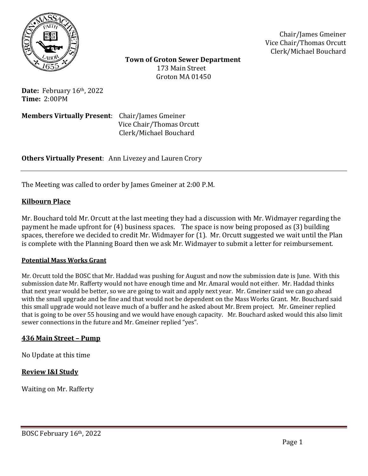

Chair/James Gmeiner Vice Chair/Thomas Orcutt Clerk/Michael Bouchard

 **Town of Groton Sewer Department** 173 Main Street Groton MA 01450

**Date:** February 16th, 2022 **Time:** 2:00PM

**Members Virtually Present**: Chair/James Gmeiner Vice Chair/Thomas Orcutt Clerk/Michael Bouchard

**Others Virtually Present**: Ann Livezey and Lauren Crory

The Meeting was called to order by James Gmeiner at 2:00 P.M.

### **Kilbourn Place**

Mr. Bouchard told Mr. Orcutt at the last meeting they had a discussion with Mr. Widmayer regarding the payment he made upfront for (4) business spaces. The space is now being proposed as (3) building spaces, therefore we decided to credit Mr. Widmayer for (1). Mr. Orcutt suggested we wait until the Plan is complete with the Planning Board then we ask Mr. Widmayer to submit a letter for reimbursement.

#### **Potential Mass Works Grant**

Mr. Orcutt told the BOSC that Mr. Haddad was pushing for August and now the submission date is June. With this submission date Mr. Rafferty would not have enough time and Mr. Amaral would not either. Mr. Haddad thinks that next year would be better, so we are going to wait and apply next year. Mr. Gmeiner said we can go ahead with the small upgrade and be fine and that would not be dependent on the Mass Works Grant. Mr. Bouchard said this small upgrade would not leave much of a buffer and he asked about Mr. Brem project. Mr. Gmeiner replied that is going to be over 55 housing and we would have enough capacity. Mr. Bouchard asked would this also limit sewer connections in the future and Mr. Gmeiner replied "yes".

### **436 Main Street – Pump**

No Update at this time

### **Review I&I Study**

Waiting on Mr. Rafferty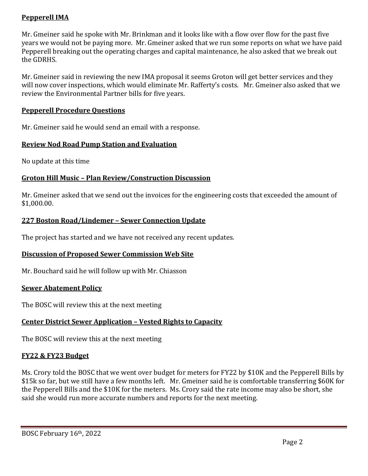# **Pepperell IMA**

Mr. Gmeiner said he spoke with Mr. Brinkman and it looks like with a flow over flow for the past five years we would not be paying more. Mr. Gmeiner asked that we run some reports on what we have paid Pepperell breaking out the operating charges and capital maintenance, he also asked that we break out the GDRHS.

Mr. Gmeiner said in reviewing the new IMA proposal it seems Groton will get better services and they will now cover inspections, which would eliminate Mr. Rafferty's costs. Mr. Gmeiner also asked that we review the Environmental Partner bills for five years.

## **Pepperell Procedure Questions**

Mr. Gmeiner said he would send an email with a response.

### **Review Nod Road Pump Station and Evaluation**

No update at this time

# **Groton Hill Music – Plan Review/Construction Discussion**

Mr. Gmeiner asked that we send out the invoices for the engineering costs that exceeded the amount of \$1,000.00.

### **227 Boston Road/Lindemer – Sewer Connection Update**

The project has started and we have not received any recent updates.

# **Discussion of Proposed Sewer Commission Web Site**

Mr. Bouchard said he will follow up with Mr. Chiasson

### **Sewer Abatement Policy**

The BOSC will review this at the next meeting

# **Center District Sewer Application – Vested Rights to Capacity**

The BOSC will review this at the next meeting

### **FY22 & FY23 Budget**

Ms. Crory told the BOSC that we went over budget for meters for FY22 by \$10K and the Pepperell Bills by \$15k so far, but we still have a few months left. Mr. Gmeiner said he is comfortable transferring \$60K for the Pepperell Bills and the \$10K for the meters. Ms. Crory said the rate income may also be short, she said she would run more accurate numbers and reports for the next meeting.